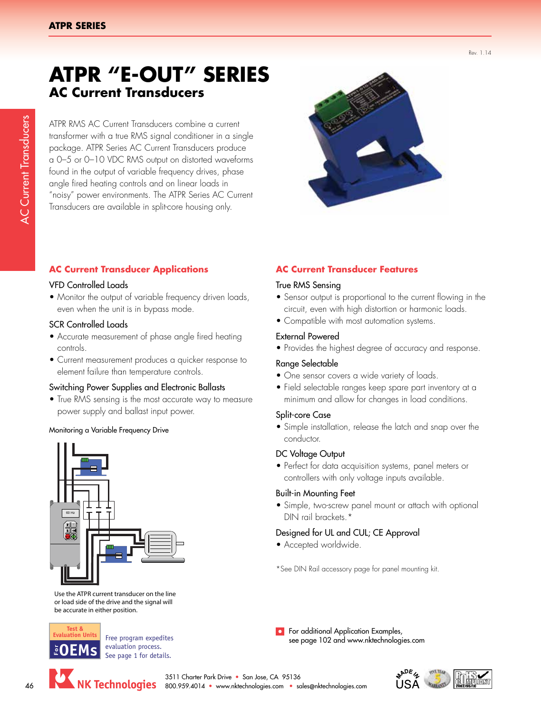AC Current Transducers

**AC Current Transducers** 

Rev. 1.14

# **ATPR "E-OUT" SERIES AC Current Transducers**

ATPR RMS AC Current Transducers combine a current transformer with a true RMS signal conditioner in a single package. ATPR Series AC Current Transducers produce a 0–5 or 0–10 VDC RMS output on distorted waveforms found in the output of variable frequency drives, phase angle fired heating controls and on linear loads in "noisy" power environments. The ATPR Series AC Current Transducers are available in split-core housing only.



# **AC Current Transducer Applications**

#### VFD Controlled Loads

• Monitor the output of variable frequency driven loads, even when the unit is in bypass mode.

#### SCR Controlled Loads

- Accurate measurement of phase angle fired heating controls.
- Current measurement produces a quicker response to element failure than temperature controls.

#### Switching Power Supplies and Electronic Ballasts

• True RMS sensing is the most accurate way to measure power supply and ballast input power.

#### Monitoring a Variable Frequency Drive



Use the ATPR current transducer on the line or load side of the drive and the signal will be accurate in either position.



Free program expedites evaluation process. See page 1 for details.



# **AC Current Transducer Features**

#### True RMS Sensing

- Sensor output is proportional to the current flowing in the circuit, even with high distortion or harmonic loads.
- Compatible with most automation systems.

## External Powered

• Provides the highest degree of accuracy and response.

## Range Selectable

- One sensor covers a wide variety of loads.
- Field selectable ranges keep spare part inventory at a minimum and allow for changes in load conditions.

## Split-core Case

• Simple installation, release the latch and snap over the conductor.

## DC Voltage Output

• Perfect for data acquisition systems, panel meters or controllers with only voltage inputs available.

## Built-in Mounting Feet

• Simple, two-screw panel mount or attach with optional DIN rail brackets.\*

# Designed for UL and CUL; CE Approval

• Accepted worldwide.

\*See DIN Rail accessory page for panel mounting kit.

**P** For additional Application Examples, see page 102 and www.nktechnologies.com



3511 Charter Park Drive • San Jose, CA 95136 NK Technologies 800.959.4014 • www.nktechnologies.com • sales@nktechnologies.com